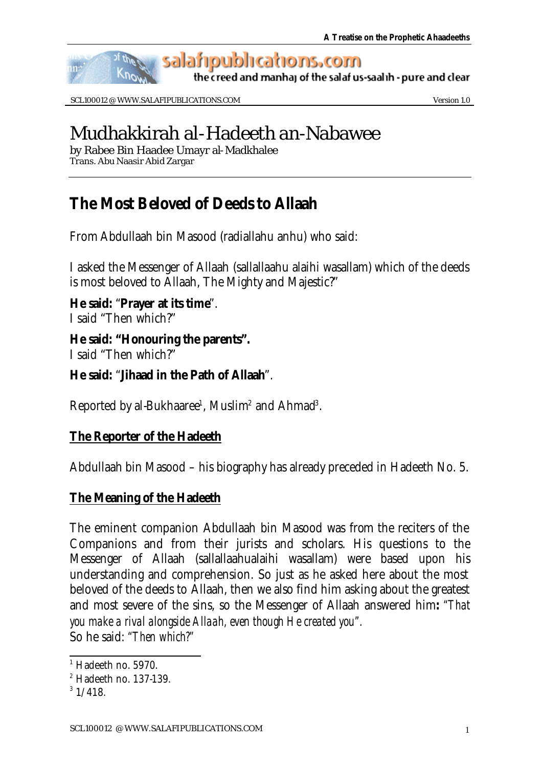

SCL100012 @ WWW.SALAFIPUBLICATIONS.COM Version 1.0

# Mudhakkirah al-Hadeeth an-Nabawee

by Rabee Bin Haadee Umayr al-Madkhalee Trans. Abu Naasir Abid Zargar

## **The Most Beloved of Deeds to Allaah**

From Abdullaah bin Masood (radiallahu anhu) who said:

I asked the Messenger of Allaah (sallallaahu alaihi wasallam) which of the deeds is most beloved to Allaah, The Mighty and Majestic?"

**He said:** "**Prayer at its time**". I said "Then which?"

**He said: "Honouring the parents".** I said "Then which?"

**He said:** "**Jihaad in the Path of Allaah**".

Reported by al-Bukhaaree<sup>1</sup>, Muslim<sup>2</sup> and Ahmad<sup>3</sup>.

### **The Reporter of the Hadeeth**

Abdullaah bin Masood – his biography has already preceded in Hadeeth No. 5.

### **The Meaning of the Hadeeth**

The eminent companion Abdullaah bin Masood was from the reciters of the Companions and from their jurists and scholars. His questions to the Messenger of Allaah (sallallaahualaihi wasallam) were based upon his understanding and comprehension. So just as he asked here about the most beloved of the deeds to Allaah, then we also find him asking about the greatest and most severe of the sins, so the Messenger of Allaah answered him**:** *"That you make a rival alongside Allaah, even though He created you".*  So he said: *"Then which?"* 

l <sup>1</sup> Hadeeth no. 5970.

<sup>2</sup> Hadeeth no. 137-139.

 $3\frac{1}{418}$ .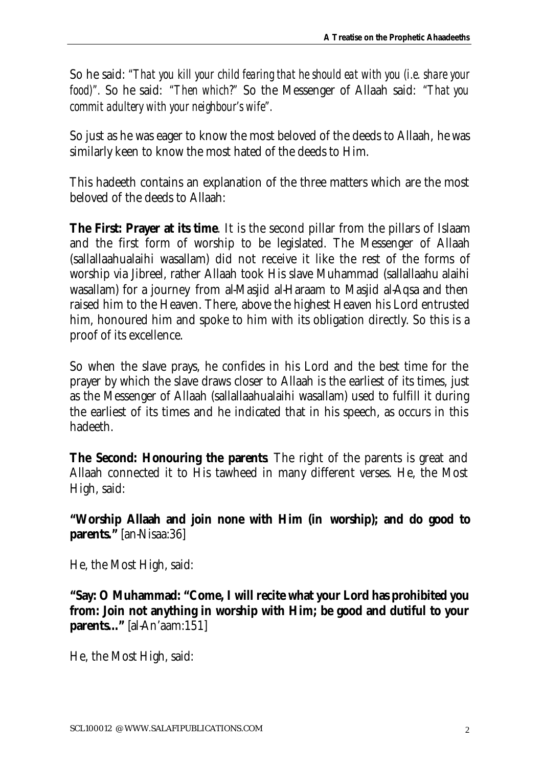So he said: *"That you kill your child fearing that he should eat with you (i.e. share your food)".* So he said: *"Then which?"* So the Messenger of Allaah said: *"That you commit adultery with your neighbour's wife".*

So just as he was eager to know the most beloved of the deeds to Allaah, he was similarly keen to know the most hated of the deeds to Him.

This hadeeth contains an explanation of the three matters which are the most beloved of the deeds to Allaah:

**The First: Prayer at its time**. It is the second pillar from the pillars of Islaam and the first form of worship to be legislated. The Messenger of Allaah (sallallaahualaihi wasallam) did not receive it like the rest of the forms of worship via Jibreel, rather Allaah took His slave Muhammad (sallallaahu alaihi wasallam) for a journey from al-Masjid al-Haraam to Masjid al-Aqsa and then raised him to the Heaven. There, above the highest Heaven his Lord entrusted him, honoured him and spoke to him with its obligation directly. So this is a proof of its excellence.

So when the slave prays, he confides in his Lord and the best time for the prayer by which the slave draws closer to Allaah is the earliest of its times, just as the Messenger of Allaah (sallallaahualaihi wasallam) used to fulfill it during the earliest of its times and he indicated that in his speech, as occurs in this hadeeth.

**The Second: Honouring the parents**. The right of the parents is great and Allaah connected it to His tawheed in many different verses. He, the Most High, said:

**"Worship Allaah and join none with Him (in worship); and do good to parents."** [an-Nisaa:36]

He, the Most High, said:

**"Say: O Muhammad: "Come, I will recite what your Lord has prohibited you from: Join not anything in worship with Him; be good and dutiful to your parents...**" [al-An'aam:151]

He, the Most High, said: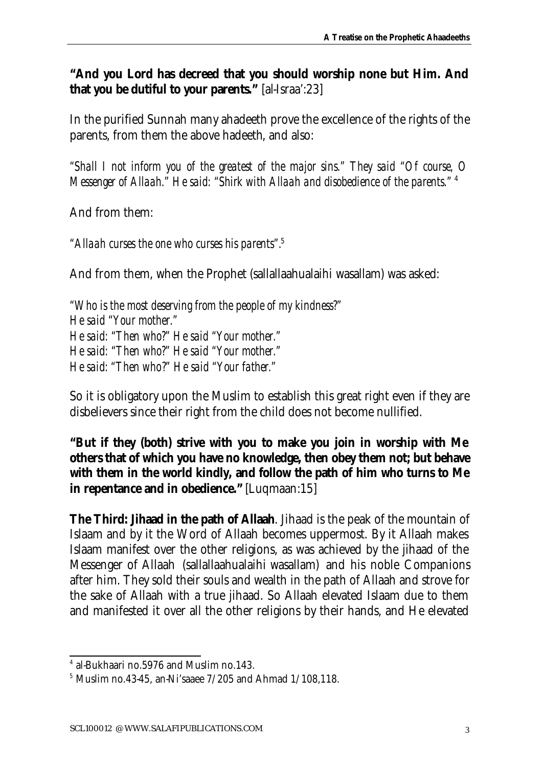**"And you Lord has decreed that you should worship none but Him. And that you be dutiful to your parents."** [al-Israa':23]

In the purified Sunnah many ahadeeth prove the excellence of the rights of the parents, from them the above hadeeth, and also:

*"Shall I not inform you of the greatest of the major sins." They said "Of course, O Messenger of Allaah." He said: "Shirk with Allaah and disobedience of the parents."* <sup>4</sup>

And from them:

*"Allaah curses the one who curses his parents".*<sup>5</sup>

And from them, when the Prophet (sallallaahualaihi wasallam) was asked:

*"Who is the most deserving from the people of my kindness?" He said "Your mother." He said: "Then who?" He said "Your mother." He said: "Then who?" He said "Your mother." He said: "Then who?" He said "Your father."*

So it is obligatory upon the Muslim to establish this great right even if they are disbelievers since their right from the child does not become nullified.

**"But if they (both) strive with you to make you join in worship with Me others that of which you have no knowledge, then obey them not; but behave with them in the world kindly, and follow the path of him who turns to Me in repentance and in obedience."** [Luqmaan:15]

**The Third: Jihaad in the path of Allaah**. Jihaad is the peak of the mountain of Islaam and by it the Word of Allaah becomes uppermost. By it Allaah makes Islaam manifest over the other religions, as was achieved by the jihaad of the Messenger of Allaah (sallallaahualaihi wasallam) and his noble Companions after him. They sold their souls and wealth in the path of Allaah and strove for the sake of Allaah with a true jihaad. So Allaah elevated Islaam due to them and manifested it over all the other religions by their hands, and He elevated

l 4 al-Bukhaari no.5976 and Muslim no.143.

 $5$  Muslim no.43-45, an-Ni'saaee  $7/205$  and Ahmad  $1/108,118$ .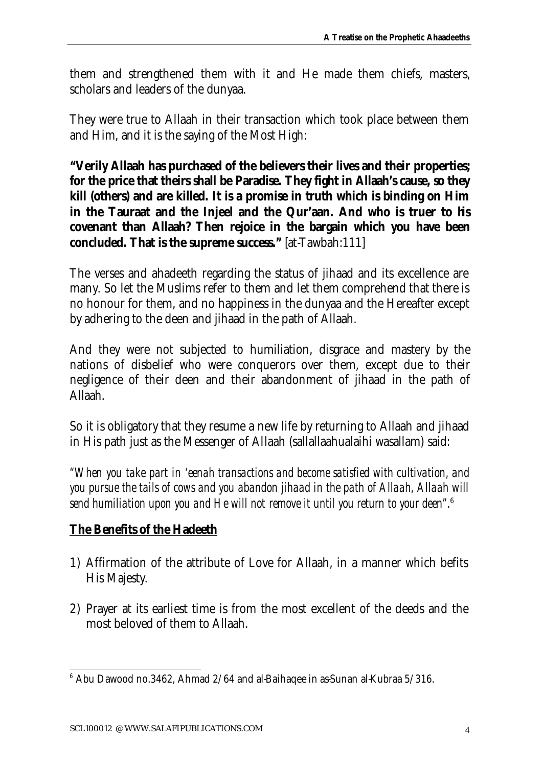them and strengthened them with it and He made them chiefs, masters, scholars and leaders of the dunyaa.

They were true to Allaah in their transaction which took place between them and Him, and it is the saying of the Most High:

**"Verily Allaah has purchased of the believers their lives and their properties; for the price that theirs shall be Paradise. They fight in Allaah's cause, so they kill (others) and are killed. It is a promise in truth which is binding on Him in the Tauraat and the Injeel and the Qur'aan. And who is truer to his covenant than Allaah? Then rejoice in the bargain which you have been concluded. That is the supreme success."** [at-Tawbah:111]

The verses and ahadeeth regarding the status of jihaad and its excellence are many. So let the Muslims refer to them and let them comprehend that there is no honour for them, and no happiness in the dunyaa and the Hereafter except by adhering to the deen and jihaad in the path of Allaah.

And they were not subjected to humiliation, disgrace and mastery by the nations of disbelief who were conquerors over them, except due to their negligence of their deen and their abandonment of jihaad in the path of Allaah.

So it is obligatory that they resume a new life by returning to Allaah and jihaad in His path just as the Messenger of Allaah (sallallaahualaihi wasallam) said:

*"When you take part in 'eenah transactions and become satisfied with cultivation, and you pursue the tails of cows and you abandon jihaad in the path of Allaah, Allaah will send humiliation upon you and He will not remove it until you return to your deen".*<sup>6</sup>

### **The Benefits of the Hadeeth**

- 1) Affirmation of the attribute of Love for Allaah, in a manner which befits His Majesty.
- 2) Prayer at its earliest time is from the most excellent of the deeds and the most beloved of them to Allaah.

 6 Abu Dawood no.3462, Ahmad 2/64 and al-Baihaqee in as-Sunan al-Kubraa 5/316.